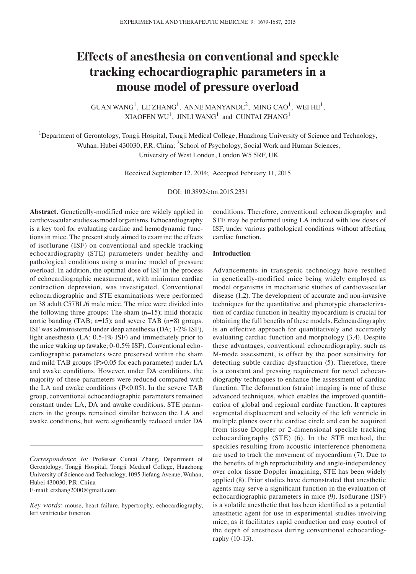# **Effects of anesthesia on conventional and speckle tracking echocardiographic parameters in a mouse model of pressure overload**

GUAN WANG<sup>1</sup>, LE ZHANG<sup>1</sup>, ANNE MANYANDE<sup>2</sup>, MING CAO<sup>1</sup>, WEI HE<sup>1</sup>, XIAOFEN WU<sup>1</sup>, JINLI WANG<sup>1</sup> and CUNTAI ZHANG<sup>1</sup>

<sup>1</sup>Department of Gerontology, Tongji Hospital, Tongji Medical College, Huazhong University of Science and Technology, Wuhan, Hubei 430030, P.R. China; <sup>2</sup>School of Psychology, Social Work and Human Sciences,

University of West London, London W5 5RF, UK

Received September 12, 2014; Accepted February 11, 2015

DOI: 10.3892/etm.2015.2331

**Abstract.** Genetically-modified mice are widely applied in cardiovascular studies as model organisms. Echocardiography is a key tool for evaluating cardiac and hemodynamic functions in mice. The present study aimed to examine the effects of isoflurane (ISF) on conventional and speckle tracking echocardiography (STE) parameters under healthy and pathological conditions using a murine model of pressure overload. In addition, the optimal dose of ISF in the process of echocardiographic measurement, with minimum cardiac contraction depression, was investigated. Conventional echocardiographic and STE examinations were performed on 38 adult C57BL/6 male mice. The mice were divided into the following three groups: The sham (n=15); mild thoracic aortic banding (TAB; n=15); and severe TAB (n=8) groups. ISF was administered under deep anesthesia (DA; 1-2% ISF), light anesthesia (LA; 0.5-1% ISF) and immediately prior to the mice waking up (awake; 0-0.5% ISF). Conventional echocardiographic parameters were preserved within the sham and mild TAB groups (P>0.05 for each parameter) under LA and awake conditions. However, under DA conditions, the majority of these parameters were reduced compared with the LA and awake conditions (P<0.05). In the severe TAB group, conventional echocardiographic parameters remained constant under LA, DA and awake conditions. STE parameters in the groups remained similar between the LA and awake conditions, but were significantly reduced under DA

E-mail: ctzhang2000@gmail.com

conditions. Therefore, conventional echocardiography and STE may be performed using LA induced with low doses of ISF, under various pathological conditions without affecting cardiac function.

## **Introduction**

Advancements in transgenic technology have resulted in genetically-modified mice being widely employed as model organisms in mechanistic studies of cardiovascular disease (1,2). The development of accurate and non-invasive techniques for the quantitative and phenotypic characterization of cardiac function in healthy myocardium is crucial for obtaining the full benefits of these models. Echocardiography is an effective approach for quantitatively and accurately evaluating cardiac function and morphology (3,4). Despite these advantages, conventional echocardiography, such as M-mode assessment, is offset by the poor sensitivity for detecting subtle cardiac dysfunction (5). Therefore, there is a constant and pressing requirement for novel echocardiography techniques to enhance the assessment of cardiac function. The deformation (strain) imaging is one of these advanced techniques, which enables the improved quantification of global and regional cardiac function. It captures segmental displacement and velocity of the left ventricle in multiple planes over the cardiac circle and can be acquired from tissue Doppler or 2-dimensional speckle tracking echocardiography (STE) (6). In the STE method, the speckles resulting from acoustic interference phenomena are used to track the movement of myocardium (7). Due to the benefits of high reproducibility and angle‑independency over color tissue Doppler imagining, STE has been widely applied (8). Prior studies have demonstrated that anesthetic agents may serve a significant function in the evaluation of echocardiographic parameters in mice (9). Isoflurane (ISF) is a volatile anesthetic that has been identified as a potential anesthetic agent for use in experimental studies involving mice, as it facilitates rapid conduction and easy control of the depth of anesthesia during conventional echocardiography (10-13).

*Correspondence to:* Professor Cuntai Zhang, Department of Gerontology, Tongji Hospital, Tongji Medical College, Huazhong University of Science and Technology, 1095 Jiefang Avenue, Wuhan, Hubei 430030, P.R. China

*Key words:* mouse, heart failure, hypertrophy, echocardiography, left ventricular function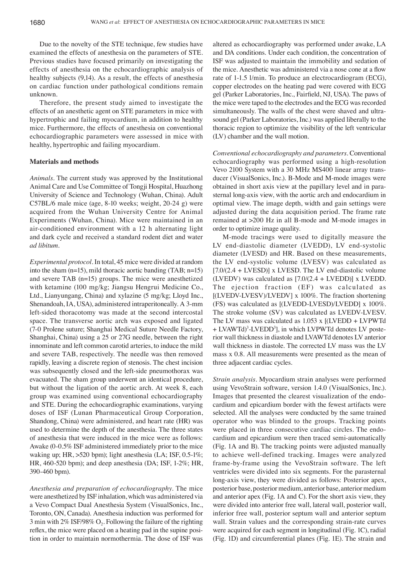Due to the novelty of the STE technique, few studies have examined the effects of anesthesia on the parameters of STE. Previous studies have focused primarily on investigating the effects of anesthesia on the echocardiographic analysis of healthy subjects (9,14). As a result, the effects of anesthesia on cardiac function under pathological conditions remain unknown.

Therefore, the present study aimed to investigate the effects of an anesthetic agent on STE parameters in mice with hypertrophic and failing myocardium, in addition to healthy mice. Furthermore, the effects of anesthesia on conventional echocardiographic parameters were assessed in mice with healthy, hypertrophic and failing myocardium.

## **Materials and methods**

*Animals.* The current study was approved by the Institutional Animal Care and Use Committee of Tongji Hospital, Huazhong University of Science and Technology (Wuhan, China). Adult C57BL/6 male mice (age, 8-10 weeks; weight, 20-24 g) were acquired from the Wuhan University Centre for Animal Experiments (Wuhan, China). Mice were maintained in an air-conditioned environment with a 12 h alternating light and dark cycle and received a standard rodent diet and water *ad libitum*.

*Experimental protocol.* In total, 45 mice were divided at random into the sham (n=15), mild thoracic aortic banding (TAB; n=15) and severe TAB (n=15) groups. The mice were anesthetized with ketamine (100 mg/kg; Jiangsu Hengrui Medicine Co., Ltd., Lianyungang, China) and xylazine (5 mg/kg; Lloyd Inc., Shenandoah, IA, USA), administered intraperitoneally. A 3-mm left-sided thoracotomy was made at the second intercostal space. The transverse aortic arch was exposed and ligated (7-0 Prolene suture; Shanghai Medical Suture Needle Factory, Shanghai, China) using a 25 or 27G needle, between the right innominate and left common carotid arteries, to induce the mild and severe TAB, respectively. The needle was then removed rapidly, leaving a discrete region of stenosis. The chest incision was subsequently closed and the left-side pneumothorax was evacuated. The sham group underwent an identical procedure, but without the ligation of the aortic arch. At week 8, each group was examined using conventional echocardiography and STE. During the echocardiographic examinations, varying doses of ISF (Lunan Pharmaceutical Group Corporation, Shandong, China) were administered, and heart rate (HR) was used to determine the depth of the anesthesia. The three states of anesthesia that were induced in the mice were as follows: Awake (0-0.5% ISF administered immediately prior to the mice waking up; HR, >520 bpm); light anesthesia (LA; ISF, 0.5-1%; HR, 460-520 bpm); and deep anesthesia (DA; ISF, 1-2%; HR, 390-460 bpm).

*Anesthesia and preparation of echocardiography.* The mice were anesthetized by ISF inhalation, which was administered via a Vevo Compact Dual Anesthesia System (VisualSonics, Inc., Toronto, ON, Canada). Anesthesia induction was performed for 3 min with 2% ISF/98%  $O_2$ . Following the failure of the righting reflex, the mice were placed on a heating pad in the supine position in order to maintain normothermia. The dose of ISF was altered as echocardiography was performed under awake, LA and DA conditions. Under each condition, the concentration of ISF was adjusted to maintain the immobility and sedation of the mice. Anesthetic was administered via a nose cone at a flow rate of 1-1.5 l/min. To produce an electrocardiogram (ECG), copper electrodes on the heating pad were covered with ECG gel (Parker Laboratories, Inc., Fairfield, NJ, USA). The paws of the mice were taped to the electrodes and the ECG was recorded simultaneously. The walls of the chest were shaved and ultrasound gel (Parker Laboratories, Inc.) was applied liberally to the thoracic region to optimize the visibility of the left ventricular (LV) chamber and the wall motion.

*Conventional echocardiography and parameters.* Conventional echocardiography was performed using a high-resolution Vevo 2100 System with a 30 MHz MS400 linear array transducer (VisualSonics, Inc.). B-Mode and M-mode images were obtained in short axis view at the papillary level and in parasternal long-axis view, with the aortic arch and endocardium in optimal view. The image depth, width and gain settings were adjusted during the data acquisition period. The frame rate remained at >200 Hz in all B-mode and M-mode images in order to optimize image quality.

M-mode tracings were used to digitally measure the LV end-diastolic diameter (LVEDD), LV end-systolic diameter (LVESD) and HR. Based on these measurements, the LV end-systolic volume (LVESV) was calculated as  $[7.0/(2.4 + LVESD)]$  x LVESD. The LV end-diastolic volume (LVEDV) was calculated as [7.0/(2.4 + LVEDD)] x LVEDD. The ejection fraction (EF) was calculated as [(LVEDV-LVESV)/LVEDV] x 100%. The fraction shortening (FS) was calculated as [(LVEDD-LVESD)/LVEDD] x 100%. The stroke volume (SV) was calculated as LVEDV-LVESV. The LV mass was calculated as 1.053 x [(LVEDD + LVPWTd + LVAWTd)<sup>3</sup>-LVEDD<sup>3</sup>], in which LVPWTd denotes LV posterior wall thickness in diastole and LVAWTd denotes LV anterior wall thickness in diastole. The corrected LV mass was the LV mass x 0.8. All measurements were presented as the mean of three adjacent cardiac cycles.

*Strain analysis.* Myocardium strain analyses were performed using VevoStrain software, version 1.4.0 (VisualSonics, Inc.). Images that presented the clearest visualization of the endocardium and epicardium border with the fewest artifacts were selected. All the analyses were conducted by the same trained operator who was blinded to the groups. Tracking points were placed in three consecutive cardiac circles. The endocardium and epicardium were then traced semi-automatically (Fig. 1A and B). The tracking points were adjusted manually to achieve well-defined tracking. Images were analyzed frame-by-frame using the VevoStrain software. The left ventricles were divided into six segments. For the parasternal long-axis view, they were divided as follows: Posterior apex, posterior base, posterior medium, anterior base, anterior medium and anterior apex (Fig. 1A and C). For the short axis view, they were divided into anterior free wall, lateral wall, posterior wall, inferior free wall, posterior septum wall and anterior septum wall. Strain values and the corresponding strain-rate curves were acquired for each segment in longitudinal (Fig. 1C), radial (Fig. 1D) and circumferential planes (Fig. 1E). The strain and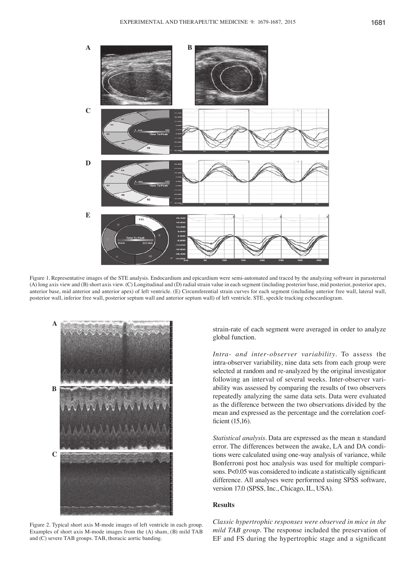

Figure 1. Representative images of the STE analysis. Endocardium and epicardium were semi-automated and traced by the analyzing software in parasternal (A) long axis view and (B) short axis view. (C) Longitudinal and (D) radial strain value in each segment (including posterior base, mid posterior, posterior apex, anterior base, mid anterior and anterior apex) of left ventricle. (E) Circumferential strain curves for each segment (including anterior free wall, lateral wall, posterior wall, inferior free wall, posterior septum wall and anterior septum wall) of left ventricle. STE, speckle tracking echocardiogram.



Figure 2. Typical short axis M-mode images of left ventricle in each group. Examples of short axis M-mode images from the (A) sham, (B) mild TAB and (C) severe TAB groups. TAB, thoracic aortic banding.

strain-rate of each segment were averaged in order to analyze global function.

*Intra‑ and inter‑observer variability.* To assess the intra-observer variability, nine data sets from each group were selected at random and re-analyzed by the original investigator following an interval of several weeks. Inter-observer variability was assessed by comparing the results of two observers repeatedly analyzing the same data sets. Data were evaluated as the difference between the two observations divided by the mean and expressed as the percentage and the correlation coefficient (15,16).

*Statistical analysis.* Data are expressed as the mean ± standard error. The differences between the awake, LA and DA conditions were calculated using one-way analysis of variance, while Bonferroni post hoc analysis was used for multiple comparisons. P<0.05 was considered to indicate a statistically significant difference. All analyses were performed using SPSS software, version 17.0 (SPSS, Inc., Chicago, IL, USA).

## **Results**

*Classic hypertrophic responses were observed in mice in the mild TAB group.* The response included the preservation of EF and FS during the hypertrophic stage and a significant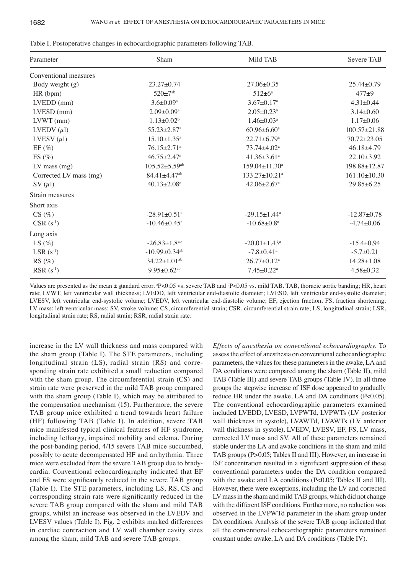| Parameter              | Sham                            | Mild TAB                       | Severe TAB         |  |
|------------------------|---------------------------------|--------------------------------|--------------------|--|
| Conventional measures  |                                 |                                |                    |  |
| Body weight (g)        | $23.27 \pm 0.74$                | $27.06 \pm 0.35$               | $25.44 \pm 0.79$   |  |
| HR(bpm)                | $520 \pm 7$ <sup>ab</sup>       | $512 \pm 6^a$                  | $477 + 9$          |  |
| $LVEDD$ (mm)           | $3.6 \pm 0.09^a$                | $3.67 \pm 0.17$ <sup>a</sup>   | $4.31 \pm 0.44$    |  |
| $LVESD$ (mm)           | $2.09 \pm 0.09^a$               | $2.05 \pm 0.23$ <sup>a</sup>   | $3.14 \pm 0.60$    |  |
| $L VWT$ (mm)           | $1.13 \pm 0.02$ <sup>b</sup>    | $1.46 \pm 0.03$ <sup>a</sup>   | $1.17 \pm 0.06$    |  |
| LVEDV $(\mu l)$        | $55.23 \pm 2.87$ <sup>a</sup>   | $60.96 \pm 6.60^a$             | $100.57 \pm 21.88$ |  |
| LVESV $(\mu l)$        | $15.10 \pm 1.35^a$              | $22.71 \pm 6.79$ <sup>a</sup>  | $70.72 \pm 23.05$  |  |
| $EF(\%)$               | $76.15 \pm 2.71$ <sup>a</sup>   | 73.74±4.02 <sup>a</sup>        | $46.18 + 4.79$     |  |
| FS(%)                  | $46.75 \pm 2.47$ <sup>a</sup>   | $41.36 \pm 3.61$ <sup>a</sup>  | $22.10 \pm 3.92$   |  |
| $LV$ mass $(mg)$       | $105.52 \pm 5.59$ <sup>ab</sup> | $159.04 \pm 11.30^a$           | 198.88±12.87       |  |
| Corrected LV mass (mg) | 84.41±4.47 <sup>ab</sup>        | 133.27±10.21 <sup>a</sup>      | $161.10 \pm 10.30$ |  |
| SV $(\mu l)$           | $40.13 \pm 2.08$ <sup>a</sup>   | $42.06 \pm 2.67$ <sup>a</sup>  | 29.85±6.25         |  |
| Strain measures        |                                 |                                |                    |  |
| Short axis             |                                 |                                |                    |  |
| CS(%)                  | $-28.91 \pm 0.51$ <sup>a</sup>  | $-29.15 \pm 1.44$ <sup>a</sup> | $-12.87+0.78$      |  |
| $CSR(s^{-1})$          | $-10.46 \pm 0.45$ <sup>a</sup>  | $-10.68 \pm 0.8$ <sup>a</sup>  | $-4.74 \pm 0.06$   |  |
| Long axis              |                                 |                                |                    |  |
| LS $(\%)$              | $-26.83 \pm 1.8$ <sup>ab</sup>  | $-20.01 \pm 1.43$ <sup>a</sup> | $-15.4+0.94$       |  |
| LSR $(s^{-1})$         | $-10.99\pm0.34^{ab}$            | $-7.8 \pm 0.41$ <sup>a</sup>   | $-5.7+0.21$        |  |
| $RS(\%)$               | 34.22±1.01 <sup>ab</sup>        | $26.77 \pm 0.12^a$             | $14.28 \pm 1.08$   |  |
| $RSR(s^{-1})$          | $9.95 \pm 0.62$ <sup>ab</sup>   | $7.45 \pm 0.22$ <sup>a</sup>   | $4.58 \pm 0.32$    |  |
|                        |                                 |                                |                    |  |

Table I. Postoperative changes in echocardiographic parameters following TAB.

Values are presented as the mean ± standard error. <sup>a</sup>P<0.05 vs. severe TAB and <sup>b</sup>P<0.05 vs. mild TAB. TAB, thoracic aortic banding; HR, heart rate; LVWT, left ventricular wall thickness; LVEDD, left ventricular end-diastolic diameter; LVESD, left ventricular end-systolic diameter; LVESV, left ventricular end-systolic volume; LVEDV, left ventricular end-diastolic volume; EF, ejection fraction; FS, fraction shortening; LV mass; left ventricular mass; SV, stroke volume; CS, circumferential strain; CSR, circumferential strain rate; LS, longitudinal strain; LSR, longitudinal strain rate; RS, radial strain; RSR, radial strain rate.

increase in the LV wall thickness and mass compared with the sham group (Table I). The STE parameters, including longitudinal strain (LS), radial strain (RS) and corresponding strain rate exhibited a small reduction compared with the sham group. The circumferential strain (CS) and strain rate were preserved in the mild TAB group compared with the sham group (Table I), which may be attributed to the compensation mechanism (15). Furthermore, the severe TAB group mice exhibited a trend towards heart failure (HF) following TAB (Table I). In addition, severe TAB mice manifested typical clinical features of HF syndrome, including lethargy, impaired mobility and edema. During the post-banding period, 4/15 severe TAB mice succumbed, possibly to acute decompensated HF and arrhythmia. Three mice were excluded from the severe TAB group due to bradycardia. Conventional echocardiography indicated that EF and FS were significantly reduced in the severe TAB group (Table I). The STE parameters, including LS, RS, CS and corresponding strain rate were significantly reduced in the severe TAB group compared with the sham and mild TAB groups, whilst an increase was observed in the LVEDV and LVESV values (Table I). Fig. 2 exhibits marked differences in cardiac contraction and LV wall chamber cavity sizes among the sham, mild TAB and severe TAB groups.

*Effects of anesthesia on conventional echocardiography.* To assess the effect of anesthesia on conventional echocardiographic parameters, the values for these parameters in the awake, LA and DA conditions were compared among the sham (Table II), mild TAB (Table III) and severe TAB groups (Table IV). In all three groups the stepwise increase of ISF dose appeared to gradually reduce HR under the awake, LA and DA conditions (P<0.05). The conventional echocardiographic parameters examined included LVEDD, LVESD, LVPWTd, LVPWTs (LV posterior wall thickness in systole), LVAWTd, LVAWTs (LV anterior wall thickness in systole), LVEDV, LVESV, EF, FS, LV mass, corrected LV mass and SV. All of these parameters remained stable under the LA and awake conditions in the sham and mild TAB groups (P>0.05; Tables II and III). However, an increase in ISF concentration resulted in a significant suppression of these conventional parameters under the DA condition compared with the awake and LA conditions (P<0.05; Tables II and III). However, there were exceptions, including the LV and corrected LV mass in the sham and mild TAB groups, which did not change with the different ISF conditions. Furthermore, no reduction was observed in the LVPWTd parameter in the sham group under DA conditions. Analysis of the severe TAB group indicated that all the conventional echocardiographic parameters remained constant under awake, LA and DA conditions (Table IV).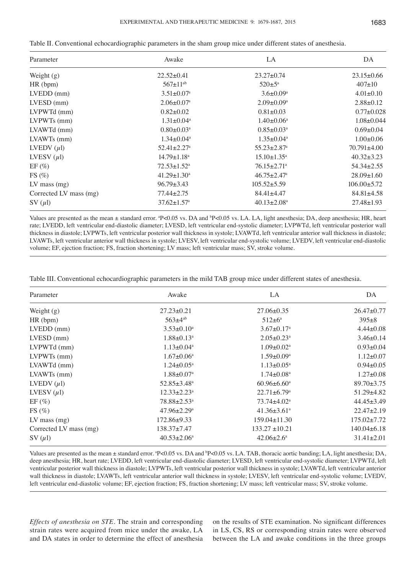| ٠ | ۰, | ×<br>۰. | ×<br>٧ |
|---|----|---------|--------|
|---|----|---------|--------|

| Table II. Conventional echocardiographic parameters in the sham group mice under different states of anesthesia. |                               |                               |                   |  |  |  |
|------------------------------------------------------------------------------------------------------------------|-------------------------------|-------------------------------|-------------------|--|--|--|
| Parameter                                                                                                        | Awake                         | LA                            | DA                |  |  |  |
| Weight $(g)$                                                                                                     | $22.52 \pm 0.41$              | $23.27 \pm 0.74$              | $23.15 \pm 0.66$  |  |  |  |
| HR (bpm)                                                                                                         | $567 \pm 11^{ab}$             | $520 \pm 5^{\circ}$           | $407 \pm 10$      |  |  |  |
| $LVEDD$ (mm)                                                                                                     | $3.51 \pm 0.07$ <sup>a</sup>  | $3.6 \pm 0.09$ <sup>a</sup>   | $4.01 \pm 0.10$   |  |  |  |
| $LVESD$ (mm)                                                                                                     | $2.06 \pm 0.07$ <sup>a</sup>  | $2.09 \pm 0.09^{\mathrm{a}}$  | $2.88 \pm 0.12$   |  |  |  |
| LVPWTd (mm)                                                                                                      | $0.82 \pm 0.02$               | $0.81 \pm 0.03$               | $0.77 \pm 0.028$  |  |  |  |
| $LVPWTs$ (mm)                                                                                                    | $1.31 \pm 0.04^{\text{a}}$    | $1.40 \pm 0.06^{\text{a}}$    | $1.08 \pm 0.044$  |  |  |  |
| LVAWTd (mm)                                                                                                      | $0.80 \pm 0.03$ <sup>a</sup>  | $0.85 \pm 0.03$ <sup>a</sup>  | $0.69 \pm 0.04$   |  |  |  |
| LVAWTs (mm)                                                                                                      | $1.34 \pm 0.04$ <sup>a</sup>  | $1.35 \pm 0.04^a$             | $1.00 \pm 0.06$   |  |  |  |
| LVEDV $(\mu l)$                                                                                                  | $52.41 \pm 2.27$ <sup>a</sup> | $55.23 \pm 2.87$ <sup>a</sup> | 70.791±4.00       |  |  |  |
| LVESV $(\mu l)$                                                                                                  | $14.79 \pm 1.18$ <sup>a</sup> | $15.10 \pm 1.35^{\text{a}}$   | $40.32 \pm 3.23$  |  |  |  |
| $EF(\%)$                                                                                                         | $72.53 \pm 1.52^{\text{a}}$   | $76.15 \pm 2.71$ <sup>a</sup> | $54.34 \pm 2.55$  |  |  |  |
| $FS(\%)$                                                                                                         | $41.29 \pm 1.30^{\circ}$      | $46.75 \pm 2.47$ <sup>a</sup> | $28.09 \pm 1.60$  |  |  |  |
| $LV$ mass $(mg)$                                                                                                 | $96.79 \pm 3.43$              | $105.52 \pm 5.59$             | $106.00 \pm 5.72$ |  |  |  |
| Corrected LV mass (mg)                                                                                           | $77.44 \pm 2.75$              | $84.41 \pm 4.47$              | $84.81 \pm 4.58$  |  |  |  |
| $SV(\mu l)$                                                                                                      | $37.62 \pm 1.57$ <sup>a</sup> | $40.13 \pm 2.08$ <sup>a</sup> | $27.48 \pm 1.93$  |  |  |  |

Values are presented as the mean ± standard error. <sup>a</sup>P<0.05 vs. DA and <sup>b</sup>P<0.05 vs. LA. LA, light anesthesia; DA, deep anesthesia; HR, heart rate; LVEDD, left ventricular end-diastolic diameter; LVESD, left ventricular end-systolic diameter; LVPWTd, left ventricular posterior wall thickness in diastole; LVPWTs, left ventricular posterior wall thickness in systole; LVAWTd, left ventricular anterior wall thickness in diastole; LVAWTs, left ventricular anterior wall thickness in systole; LVESV, left ventricular end-systolic volume; LVEDV, left ventricular end-diastolic volume; EF, ejection fraction; FS, fraction shortening; LV mass; left ventricular mass; SV, stroke volume.

Table III. Conventional echocardiographic parameters in the mild TAB group mice under different states of anesthesia.

| Parameter              | Awake                         | LA                            | DA                |  |
|------------------------|-------------------------------|-------------------------------|-------------------|--|
| Weight $(g)$           | $27.23 \pm 0.21$              | $27.06 \pm 0.35$              | $26.47 \pm 0.77$  |  |
| HR(bpm)                | $563 \pm 4^{ab}$              | $512 \pm 6^{\circ}$           | $395+8$           |  |
| $LVEDD$ (mm)           | $3.53 \pm 0.10^a$             | $3.67 \pm 0.17$ <sup>a</sup>  | $4.44 \pm 0.08$   |  |
| $LVESD$ (mm)           | $1.88 \pm 0.13^a$             | $2.05 \pm 0.23$ <sup>a</sup>  | $3.46 \pm 0.14$   |  |
| LVPWTd (mm)            | $1.13 \pm 0.04^a$             | $1.09 \pm 0.02$ <sup>a</sup>  | $0.93 \pm 0.04$   |  |
| $LVPWTs$ (mm)          | $1.67 \pm 0.06^{\text{a}}$    | $1.59 \pm 0.09^{\mathrm{a}}$  | $1.12 \pm 0.07$   |  |
| LVAWTd (mm)            | $1.24 \pm 0.05^{\text{a}}$    | $1.13 \pm 0.05^{\text{a}}$    | $0.94 \pm 0.05$   |  |
| LVAWTs (mm)            | $1.88 \pm 0.07$ <sup>a</sup>  | $1.74 \pm 0.08$ <sup>a</sup>  | $1.27 \pm 0.08$   |  |
| LVEDV $(\mu l)$        | $52.85 \pm 3.48^a$            | $60.96 \pm 6.60^{\circ}$      | $89.70 \pm 3.75$  |  |
| LVESV $(\mu l)$        | $12.33 \pm 2.23^{\text{a}}$   | $22.71 \pm 6.79$ <sup>a</sup> | 51.29±4.82        |  |
| $EF(\%)$               | $78.88 \pm 2.53$ <sup>a</sup> | $73.74 \pm 4.02^{\text{a}}$   | $44.45 \pm 3.49$  |  |
| FS(%)                  | $47.96 \pm 2.29^{\mathrm{a}}$ | $41.36 \pm 3.61$ <sup>a</sup> | $22.47 \pm 2.19$  |  |
| $LV$ mass $(mg)$       | $172.86 \pm 9.33$             | $159.04 \pm 11.30$            | $175.02 \pm 7.72$ |  |
| Corrected LV mass (mg) | $138.37 \pm 7.47$             | $133.27 \pm 10.21$            | $140.04 \pm 6.18$ |  |
| $SV(\mu l)$            | $40.53 \pm 2.06^{\circ}$      | $42.06 \pm 2.6^{\circ}$       | $31.41 \pm 2.01$  |  |

Values are presented as the mean ± standard error.  $P < 0.05$  vs. DA and  $P < 0.05$  vs. LA. TAB, thoracic aortic banding; LA, light anesthesia; DA, deep anesthesia; HR, heart rate; LVEDD, left ventricular end-diastolic diameter; LVESD, left ventricular end-systolic diameter; LVPWTd, left ventricular posterior wall thickness in diastole; LVPWTs, left ventricular posterior wall thickness in systole; LVAWTd, left ventricular anterior wall thickness in diastole; LVAWTs, left ventricular anterior wall thickness in systole; LVESV, left ventricular end-systolic volume; LVEDV, left ventricular end-diastolic volume; EF, ejection fraction; FS, fraction shortening; LV mass; left ventricular mass; SV, stroke volume.

*Effects of anesthesia on STE.* The strain and corresponding strain rates were acquired from mice under the awake, LA and DA states in order to determine the effect of anesthesia on the results of STE examination. No significant differences in LS, CS, RS or corresponding strain rates were observed between the LA and awake conditions in the three groups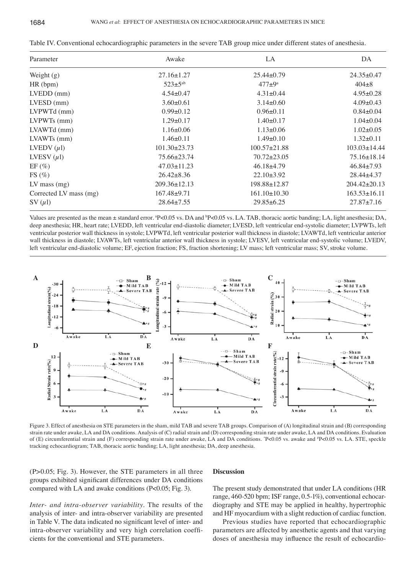| Parameter              | Awake              | LA                 | DA                 |  |
|------------------------|--------------------|--------------------|--------------------|--|
| Weight $(g)$           | $27.16 \pm 1.27$   | $25.44 \pm 0.79$   | $24.35 \pm 0.47$   |  |
| HR (bpm)               | $523 \pm 5^{ab}$   | $477 + 9^a$        | $404\pm8$          |  |
| $LVEDD$ (mm)           | $4.54 \pm 0.47$    | $4.31 \pm 0.44$    | $4.95 \pm 0.28$    |  |
| $LVESD$ (mm)           | $3.60 \pm 0.61$    | $3.14\pm0.60$      | $4.09 \pm 0.43$    |  |
| LVPWTd (mm)            | $0.99 \pm 0.12$    | $0.96 \pm 0.11$    | $0.84 \pm 0.04$    |  |
| LVPWTs (mm)            | $1.29 \pm 0.17$    | $1.40 \pm 0.17$    | $1.04 \pm 0.04$    |  |
| LVAWTd (mm)            | $1.16 \pm 0.06$    | $1.13 \pm 0.06$    | $1.02 \pm 0.05$    |  |
| LVAWTs (mm)            | $1.46 \pm 0.11$    | $1.49 \pm 0.10$    | $1.32 \pm 0.11$    |  |
| LVEDV $(\mu l)$        | $101.30\pm 23.73$  | $100.57 \pm 21.88$ | $103.03 \pm 14.44$ |  |
| LVESV $(\mu l)$        | $75.66 \pm 23.74$  | $70.72 \pm 23.05$  | $75.16 \pm 18.14$  |  |
| $EF(\%)$               | $47.03 \pm 11.23$  | $46.18\pm4.79$     | $46.84 \pm 7.93$   |  |
| FS(%)                  | $26.42 \pm 8.36$   | $22.10\pm3.92$     | $28.44\pm4.37$     |  |
| $LV$ mass $(mg)$       | $209.36 \pm 12.13$ | $198.88 \pm 12.87$ | $204.42 \pm 20.13$ |  |
| Corrected LV mass (mg) | $167.48 + 9.71$    | $161.10\pm10.30$   | $163.53 \pm 16.11$ |  |
| $SV(\mu l)$            | $28.64 \pm 7.55$   | $29.85 \pm 6.25$   | $27.87 \pm 7.16$   |  |

|  |  |  |  | Table IV. Conventional echocardiographic parameters in the severe TAB group mice under different states of anesthesia |  |  |  |  |  |  |  |
|--|--|--|--|-----------------------------------------------------------------------------------------------------------------------|--|--|--|--|--|--|--|
|--|--|--|--|-----------------------------------------------------------------------------------------------------------------------|--|--|--|--|--|--|--|

Values are presented as the mean ± standard error. <sup>a</sup>P<0.05 vs. DA and <sup>b</sup>P<0.05 vs. LA. TAB, thoracic aortic banding; LA, light anesthesia; DA, deep anesthesia; HR, heart rate; LVEDD, left ventricular end-diastolic diameter; LVESD, left ventricular end-systolic diameter; LVPWTs, left ventricular posterior wall thickness in systole; LVPWTd, left ventricular posterior wall thickness in diastole; LVAWTd, left ventricular anterior wall thickness in diastole; LVAWTs, left ventricular anterior wall thickness in systole; LVESV, left ventricular end-systolic volume; LVEDV, left ventricular end-diastolic volume; EF, ejection fraction; FS, fraction shortening; LV mass; left ventricular mass; SV, stroke volume.



Figure 3. Effect of anesthesia on STE parameters in the sham, mild TAB and severe TAB groups. Comparison of (A) longitudinal strain and (B) corresponding strain rate under awake, LA and DA conditions. Analysis of (C) radial strain and (D) corresponding strain rate under awake, LA and DA conditions. Evaluation of (E) circumferential strain and (F) corresponding strain rate under awake, LA and DA conditions. \*P<0.05 vs. awake and \*P<0.05 vs. LA. STE, speckle tracking echocardiogram; TAB, thoracic aortic banding; LA, light anesthesia; DA, deep anesthesia.

(P>0.05; Fig. 3). However, the STE parameters in all three groups exhibited significant differences under DA conditions compared with LA and awake conditions (P<0.05; Fig. 3).

## **Discussion**

The present study demonstrated that under LA conditions (HR range, 460-520 bpm; ISF range, 0.5-1%), conventional echocardiography and STE may be applied in healthy, hypertrophic and HF myocardium with a slight reduction of cardiac function.

analysis of inter- and intra-observer variability are presented in Table V. The data indicated no significant level of inter- and intra-observer variability and very high correlation coefficients for the conventional and STE parameters.

*Inter‑ and intra‑observer variability.* The results of the

Previous studies have reported that echocardiographic parameters are affected by anesthetic agents and that varying doses of anesthesia may influence the result of echocardio-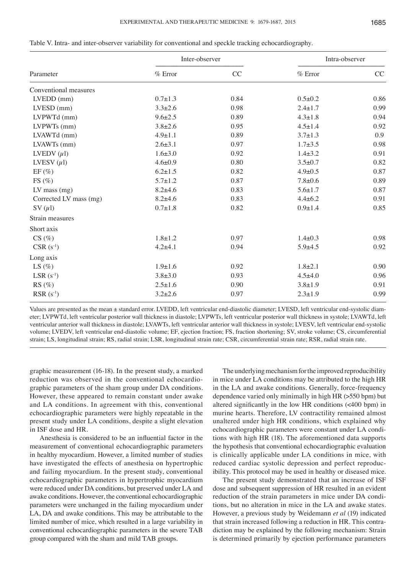|                        | Inter-observer |      | Intra-observer |      |  |
|------------------------|----------------|------|----------------|------|--|
| Parameter              | $%$ Error      | CC   | $%$ Error      | CC   |  |
| Conventional measures  |                |      |                |      |  |
| $LVEDD$ (mm)           | $0.7 \pm 1.3$  | 0.84 | $0.5 \pm 0.2$  | 0.86 |  |
| $LVESD$ (mm)           | $3.3 \pm 2.6$  | 0.98 | $2.4 \pm 1.7$  | 0.99 |  |
| LVPWTd (mm)            | $9.6 \pm 2.5$  | 0.89 | $4.3 \pm 1.8$  | 0.94 |  |
| LVPWTs (mm)            | $3.8 + 2.6$    | 0.95 | $4.5 \pm 1.4$  | 0.92 |  |
| LVAWTd (mm)            | $4.9 \pm 1.1$  | 0.89 | $3.7 \pm 1.3$  | 0.9  |  |
| LVAWTs (mm)            | $2.6 \pm 3.1$  | 0.97 | $1.7 + 3.5$    | 0.98 |  |
| LVEDV $(\mu l)$        | $1.6 \pm 3.0$  | 0.92 | $1.4 \pm 3.2$  | 0.91 |  |
| LVESV $(\mu l)$        | $4.6 \pm 0.9$  | 0.80 | $3.5 \pm 0.7$  | 0.82 |  |
| $EF(\%)$               | $6.2 \pm 1.5$  | 0.82 | $4.9 \pm 0.5$  | 0.87 |  |
| FS(%)                  | $5.7 \pm 1.2$  | 0.87 | $7.8 + 0.6$    | 0.89 |  |
| $LV$ mass $(mg)$       | $8.2 \pm 4.6$  | 0.83 | $5.6 \pm 1.7$  | 0.87 |  |
| Corrected LV mass (mg) | $8.2 + 4.6$    | 0.83 | $4.4 \pm 6.2$  | 0.91 |  |
| $SV(\mu l)$            | $0.7 \pm 1.8$  | 0.82 | $0.9 \pm 1.4$  | 0.85 |  |
| Strain measures        |                |      |                |      |  |
| Short axis             |                |      |                |      |  |
| CS(%)                  | $1.8 + 1.2$    | 0.97 | $1.4 \pm 0.3$  | 0.98 |  |
| $CSR(s^{-1})$          | $4.2 + 4.1$    | 0.94 | $5.9 \pm 4.5$  | 0.92 |  |
| Long axis              |                |      |                |      |  |
| LS $(\%)$              | $1.9 \pm 1.6$  | 0.92 | $1.8 + 2.1$    | 0.90 |  |
| LSR $(s^{-1})$         | $3.8 + 3.0$    | 0.93 | $4.5 + 4.0$    | 0.96 |  |
| $RS(\%)$               | $2.5 \pm 1.6$  | 0.90 | $3.8 \pm 1.9$  | 0.91 |  |
| $RSR(s^{-1})$          | $3.2 \pm 2.6$  | 0.97 | $2.3 \pm 1.9$  | 0.99 |  |

Table V. Intra- and inter-observer variability for conventional and speckle tracking echocardiography.

Values are presented as the mean ± standard error. LVEDD, left ventricular end-diastolic diameter; LVESD, left ventricular end-systolic diameter; LVPWTd, left ventricular posterior wall thickness in diastole; LVPWTs, left ventricular posterior wall thickness in systole; LVAWTd, left ventricular anterior wall thickness in diastole; LVAWTs, left ventricular anterior wall thickness in systole; LVESV, left ventricular end-systolic volume; LVEDV, left ventricular end-diastolic volume; EF, ejection fraction; FS, fraction shortening; SV, stroke volume; CS, circumferential strain; LS, longitudinal strain; RS, radial strain; LSR, longitudinal strain rate; CSR, circumferential strain rate; RSR, radial strain rate.

graphic measurement (16-18). In the present study, a marked reduction was observed in the conventional echocardiographic parameters of the sham group under DA conditions. However, these appeared to remain constant under awake and LA conditions. In agreement with this, conventional echocardiographic parameters were highly repeatable in the present study under LA conditions, despite a slight elevation in ISF dose and HR.

Anesthesia is considered to be an influential factor in the measurement of conventional echocardiographic parameters in healthy myocardium. However, a limited number of studies have investigated the effects of anesthesia on hypertrophic and failing myocardium. In the present study, conventional echocardiographic parameters in hypertrophic myocardium were reduced under DA conditions, but preserved under LA and awake conditions. However, the conventional echocardiographic parameters were unchanged in the failing myocardium under LA, DA and awake conditions. This may be attributable to the limited number of mice, which resulted in a large variability in conventional echocardiographic parameters in the severe TAB group compared with the sham and mild TAB groups.

The underlying mechanism for the improved reproducibility in mice under LA conditions may be attributed to the high HR in the LA and awake conditions. Generally, force-frequency dependence varied only minimally in high HR (>550 bpm) but altered significantly in the low HR conditions (<400 bpm) in murine hearts. Therefore, LV contractility remained almost unaltered under high HR conditions, which explained why echocardiographic parameters were constant under LA conditions with high HR (18). The aforementioned data supports the hypothesis that conventional echocardiographic evaluation is clinically applicable under LA conditions in mice, with reduced cardiac systolic depression and perfect reproducibility. This protocol may be used in healthy or diseased mice.

The present study demonstrated that an increase of ISF dose and subsequent suppression of HR resulted in an evident reduction of the strain parameters in mice under DA conditions, but no alteration in mice in the LA and awake states. However, a previous study by Weidemann *et al* (19) indicated that strain increased following a reduction in HR. This contradiction may be explained by the following mechanism: Strain is determined primarily by ejection performance parameters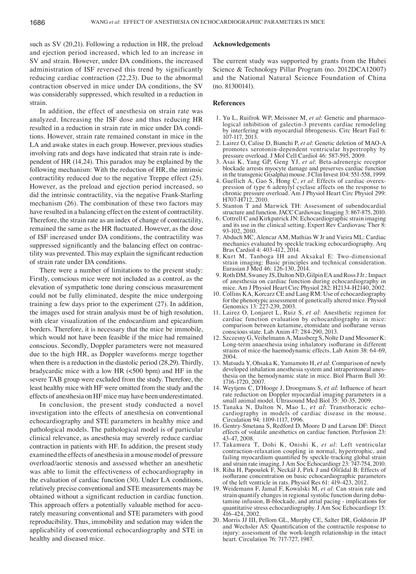such as SV (20,21). Following a reduction in HR, the preload and ejection period increased, which led to an increase in SV and strain. However, under DA conditions, the increased administration of ISF reversed this trend by significantly reducing cardiac contraction (22,23). Due to the abnormal contraction observed in mice under DA conditions, the SV was considerably suppressed, which resulted in a reduction in strain.

In addition, the effect of anesthesia on strain rate was analyzed. Increasing the ISF dose and thus reducing HR resulted in a reduction in strain rate in mice under DA conditions. However, strain rate remained constant in mice in the LA and awake states in each group. However, previous studies involving rats and dogs have indicated that strain rate is independent of HR (14,24). This paradox may be explained by the following mechanism: With the reduction of HR, the intrinsic contractility reduced due to the negative Treppe effect (25). However, as the preload and ejection period increased, so did the intrinsic contractility, via the negative Frank-Starling mechanism (26). The combination of these two factors may have resulted in a balancing effect on the extent of contractility. Therefore, the strain rate as an index of change of contractility, remained the same as the HR fluctuated. However, as the dose of ISF increased under DA conditions, the contractility was suppressed significantly and the balancing effect on contractility was prevented. This may explain the significant reduction of strain rate under DA conditions.

There were a number of limitations to the present study: Firstly, conscious mice were not included as a control, as the elevation of sympathetic tone during conscious measurement could not be fully eliminated, despite the mice undergoing training a few days prior to the experiment (27). In addition, the images used for strain analysis must be of high resolution, with clear visualization of the endocardium and epicardium borders. Therefore, it is necessary that the mice be immobile, which would not have been feasible if the mice had remained conscious. Secondly, Doppler parameters were not measured due to the high HR, as Doppler waveforms merge together when there is a reduction in the diastolic period (28,29). Thirdly, bradycardic mice with a low HR (<500 bpm) and HF in the severe TAB group were excluded from the study. Therefore, the least healthy mice with HF were omitted from the study and the effects of anesthesia on HF mice may have been underestimated.

In conclusion, the present study conducted a novel investigation into the effects of anesthesia on conventional echocardiography and STE parameters in healthy mice and pathological models. The pathological model is of particular clinical relevance, as anesthesia may severely reduce cardiac contraction in patients with HF. In addition, the present study examined the effects of anesthesia in a mouse model of pressure overload/aortic stenosis and assessed whether an anesthetic was able to limit the effectiveness of echocardiography in the evaluation of cardiac function (30). Under LA conditions, relatively precise conventional and STE measurements may be obtained without a significant reduction in cardiac function. This approach offers a potentially valuable method for accurately measuring conventional and STE parameters with good reproducibility. Thus, immobility and sedation may widen the applicability of conventional echocardiography and STE in healthy and diseased mice.

#### **Acknowledgements**

The current study was supported by grants from the Hubei Science & Technology Pillar Program (no. 2012DCA12007) and the National Natural Science Foundation of China (no. 81300141).

## **References**

- 1. Yu L, Ruifrok WP, Meissner M, *et al*: Genetic and pharmacological inhibition of galectin-3 prevents cardiac remodeling by interfering with myocardial fibrogenesis. Circ Heart Fail 6: 107-117, 2013.
- 2. Lairez O, Calise D, Bianchi P, *et al*: Genetic deletion of MAO-A promotes serotonin-dependent ventricular hypertrophy by pressure overload. J Mol Cell Cardiol 46: 587-595, 2009.
- 3. Asai K, Yang GP, Geng YJ, *et al*: Beta-adrenergic receptor blockade arrests myocyte damage and preserves cardiac function in the transgenic G(salpha) mouse. J Clin Invest 104: 551-558, 1999.
- 4. Guellich A, Gao S, Hong C, *et al*: Effects of cardiac overexpression of type 6 adenylyl cyclase affects on the response to chronic pressure overload. Am J Physiol Heart Circ Physiol 299: H707-H712, 2010.
- 5. Stanton T and Marwick TH: Assessment of subendocardial structure and function. JACC Cardiovasc Imaging 3: 867-875, 2010.
- 6. Cottrell C and Kirkpatrick JN: Echocardiographic strain imaging and its use in the clinical setting. Expert Rev Cardiovasc Ther 8: 93-102, 2010.
- 7. Abduch MC, Alencar AM, Mathias W Jr and Vieira ML: Cardiac mechanics evaluated by speckle tracking echocardiography. Arq Bras Cardiol 4: 403-412, 2014.
- 8. Kurt M, Tanboga IH and Aksakal E: Two-dimensional strain imaging: Basic principles and technical consideration. Eurasian J Med 46: 126-130, 2014.
- 9. Roth DM, Swaney JS, Dalton ND, GilpinEA and RossJJr.: Impact of anesthesia on cardiac function during echocardiography in mice. Am J Physiol Heart Circ Physiol 282: H2134-H2140, 2002.
- 10. Collins KA, Korcarz CE and Lang RM: Use of echocardiography for the phenotypic assessment of genetically altered mice. Physiol Genomics 13: 227-239, 2003.
- 11. Lairez O, Lonjaret L, Ruiz S, *et al*: Anesthetic regimen for cardiac function evaluation by echocardiography in mice: comparison between ketamine, etomidate and isoflurane versus conscious state. Lab Anim 47: 284-290, 2013.
- 12. Szczesny G, Veihelmann A, Massberg S, Nolte D and Messmer K: Long‑term anaesthesia using inhalatory isoflurane in different strains of mice-the haemodynamic effects. Lab Anim 38: 64-69, 2004.
- 13. Matsuda Y, Ohsaka K, Yamamoto H, *et al*: Comparison of newly developed inhalation anesthesia system and intraperitoneal anesthesia on the hemodynamic state in mice. Biol Pharm Bull 30: 1716-1720, 2007.
- 14. Weytjens C, D'Hooge J, Droogmans S, *et al*: Influence of heart rate reduction on Doppler myocardial imaging parameters in a small animal model. Ultrasound Med Biol 35: 30-35, 2009.
- 15. Tanaka N, Dalton N, Mao L, *et al*: Transthoracic echocardiography in models of cardiac disease in the mouse. Circulation 94: 1109-1117, 1996.
- 16. Gentry-Smetana S, Redford D, Moore D and Larson DF: Direct effects of volatile anesthetics on cardiac function. Perfusion 23: 43-47, 2008.
- 17. Takamura T, Dohi K, Onishi K, *et al*: Left ventricular contraction-relaxation coupling in normal, hypertrophic, and failing myocardium quantified by speckle-tracking global strain and strain rate imaging. J Am Soc Echocardiogr 23: 747-754, 2010.
- 18. Riha H, Papoušek F, Neckář J, Pirk J and Ošťádal B: Effects of isoflurane concentration on basic echocardiographic parameters of the left ventricle in rats. Physiol Res 61: 419-423, 2012.
- 19. Weidemann F, Jamal F, Kowalski M, *et al*: Can strain rate and strain quantify changes in regional systolic function during dobutamine infusion, B-blockade, and atrial pacing - implications for quantitative stress echocardiography. J Am Soc Echocardiogr 15: 416-424, 2002.
- 20. Morris JJ III, Pellom GL, Murphy CE, Salter DR, Goldstein JP and Wechsler AS: Quantification of the contractile response to injury: assessment of the work-length relationship in the intact heart. Circulation 76: 717-727, 1987.